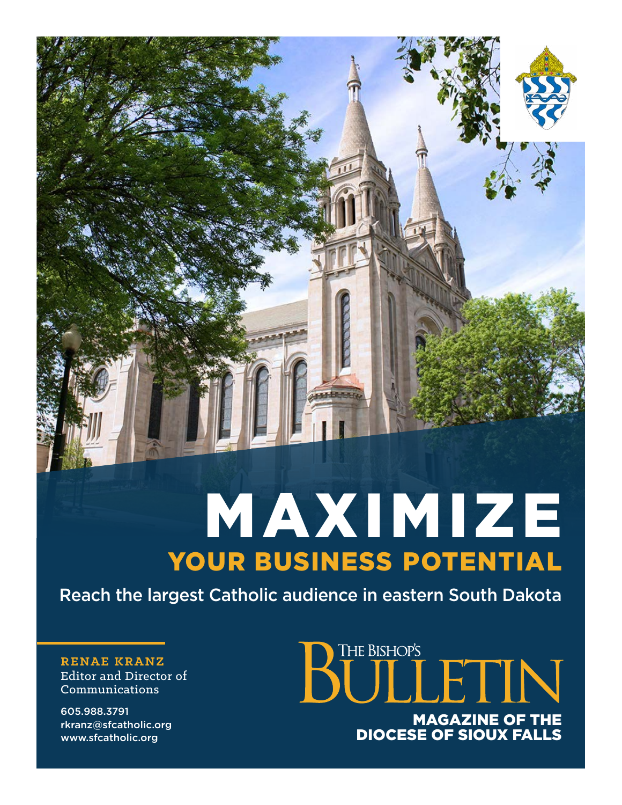MAXIMIZE YOUR BUSINESS POTENTIAL

Reach the largest Catholic audience in eastern South Dakota

**RENAE KRANZ** Editor and Director of Communications

605.988.3791 rkranz@sfcatholic.org www.sfcatholic.org

## **BULLETIN** MAGAZINE OF THE DIOCESE OF SIOUX FALLS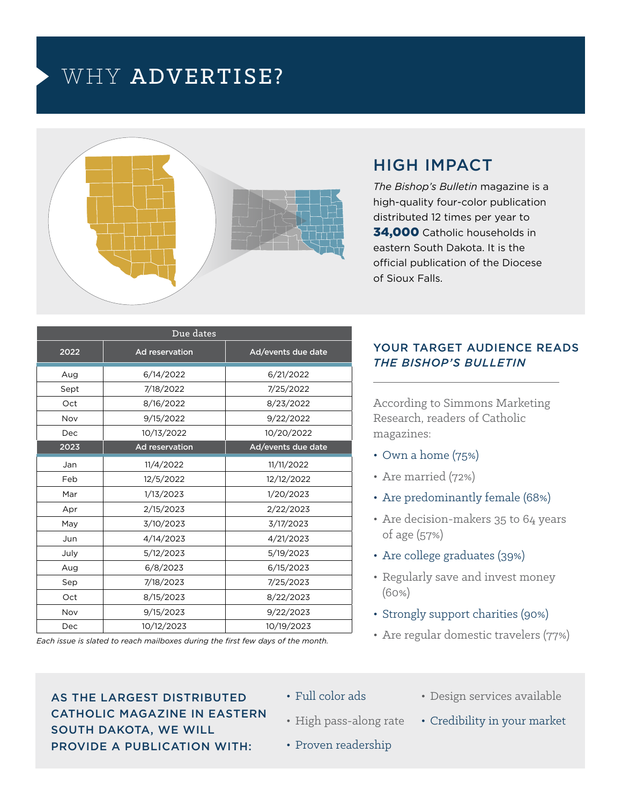### WHY ADVERTISE?



#### HIGH IMPACT

*The Bishop's Bulletin* magazine is a high-quality four-color publication distributed 12 times per year to 34,000 Catholic households in eastern South Dakota. It is the official publication of the Diocese of Sioux Falls.

| Due dates |                |                    |  |  |  |
|-----------|----------------|--------------------|--|--|--|
| 2022      | Ad reservation | Ad/events due date |  |  |  |
| Aug       | 6/14/2022      | 6/21/2022          |  |  |  |
| Sept      | 7/18/2022      | 7/25/2022          |  |  |  |
| Oct       | 8/16/2022      | 8/23/2022          |  |  |  |
| Nov       | 9/15/2022      | 9/22/2022          |  |  |  |
| Dec       | 10/13/2022     | 10/20/2022         |  |  |  |
| 2023      | Ad reservation | Ad/events due date |  |  |  |
| Jan       | 11/4/2022      | 11/11/2022         |  |  |  |
| Feb       | 12/5/2022      | 12/12/2022         |  |  |  |
| Mar       | 1/13/2023      | 1/20/2023          |  |  |  |
| Apr       | 2/15/2023      | 2/22/2023          |  |  |  |
| May       | 3/10/2023      | 3/17/2023          |  |  |  |
| Jun       | 4/14/2023      | 4/21/2023          |  |  |  |
| July      | 5/12/2023      | 5/19/2023          |  |  |  |
| Aug       | 6/8/2023       | 6/15/2023          |  |  |  |
| Sep       | 7/18/2023      | 7/25/2023          |  |  |  |
| Oct       | 8/15/2023      | 8/22/2023          |  |  |  |
| Nov       | 9/15/2023      | 9/22/2023          |  |  |  |
| Dec       | 10/12/2023     | 10/19/2023         |  |  |  |

*Each issue is slated to reach mailboxes during the first few days of the month.*

#### YOUR TARGET AUDIENCE READS *THE BISHOP'S BULLETIN*

According to Simmons Marketing Research, readers of Catholic magazines:

- Own a home (75%)
- Are married (72%)
- Are predominantly female (68%)
- Are decision-makers 35 to 64 years of age (57%)
- Are college graduates (39%)
- Regularly save and invest money (60%)
- Strongly support charities (90%)
- Are regular domestic travelers (77%)

AS THE LARGEST DISTRIBUTED CATHOLIC MAGAZINE IN EASTERN SOUTH DAKOTA, WE WILL PROVIDE A PUBLICATION WITH:

- Full color ads
- High pass-along rate
- Design services available
- Credibility in your market
- Proven readership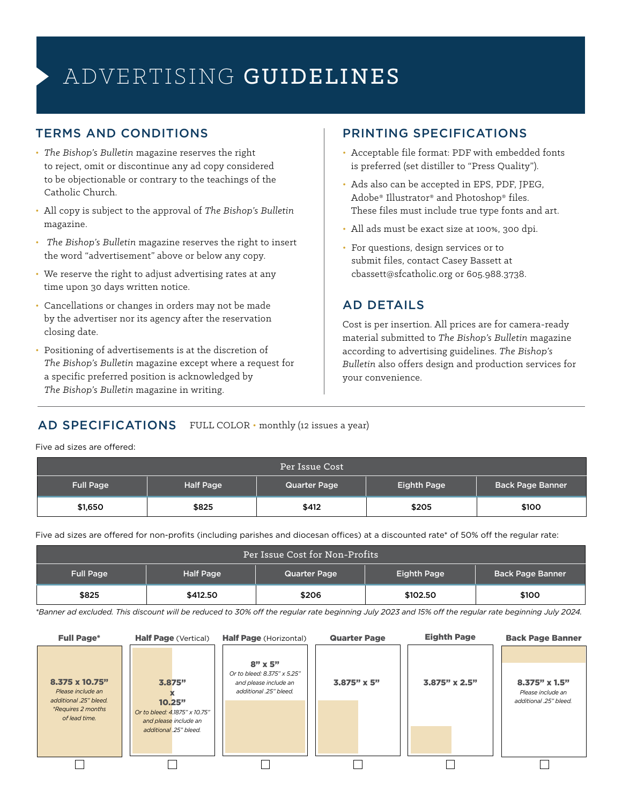## ADVERTISING GUIDELINES

#### TERMS AND CONDITIONS

- *The Bishop's Bulletin* magazine reserves the right to reject, omit or discontinue any ad copy considered to be objectionable or contrary to the teachings of the Catholic Church.
- All copy is subject to the approval of *The Bishop's Bulletin*  magazine.
- *The Bishop's Bulletin* magazine reserves the right to insert the word "advertisement" above or below any copy.
- We reserve the right to adjust advertising rates at any time upon 30 days written notice.
- Cancellations or changes in orders may not be made by the advertiser nor its agency after the reservation closing date.
- Positioning of advertisements is at the discretion of *The Bishop's Bulletin* magazine except where a request for a specific preferred position is acknowledged by *The Bishop's Bulletin* magazine in writing.

#### PRINTING SPECIFICATIONS

- Acceptable file format: PDF with embedded fonts is preferred (set distiller to "Press Quality").
- Ads also can be accepted in EPS, PDF, JPEG, Adobe® Illustrator® and Photoshop® files. These files must include true type fonts and art.
- All ads must be exact size at 100%, 300 dpi.
- For questions, design services or to submit files, contact Casey Bassett at cbassett@sfcatholic.org or 605.988.3738.

#### AD DETAILS

Cost is per insertion. All prices are for camera-ready material submitted to *The Bishop's Bulletin* magazine according to advertising guidelines. *The Bishop's Bulletin* also offers design and production services for your convenience.

#### AD SPECIFICATIONS FULL COLOR · monthly (12 issues a year)

Five ad sizes are offered:

| Per Issue Cost   |                  |                     |             |                  |  |  |
|------------------|------------------|---------------------|-------------|------------------|--|--|
| <b>Full Page</b> | <b>Half Page</b> | <b>Quarter Page</b> | Eighth Page | Back Page Banner |  |  |
| \$1,650          | \$825            | \$412               | \$205       | \$100            |  |  |

Five ad sizes are offered for non-profits (including parishes and diocesan offices) at a discounted rate\* of 50% off the regular rate:

| Per Issue Cost for Non-Profits |           |                     |             |                         |  |  |
|--------------------------------|-----------|---------------------|-------------|-------------------------|--|--|
| <b>Full Page</b>               | Half Page | <b>Quarter Page</b> | Eighth Page | <b>Back Page Banner</b> |  |  |
| \$825                          | \$412.50  | \$206               | \$102.50    | \$100                   |  |  |

*\*Banner ad excluded. This discount will be reduced to 30% off the regular rate beginning July 2023 and 15% off the regular rate beginning July 2024.*